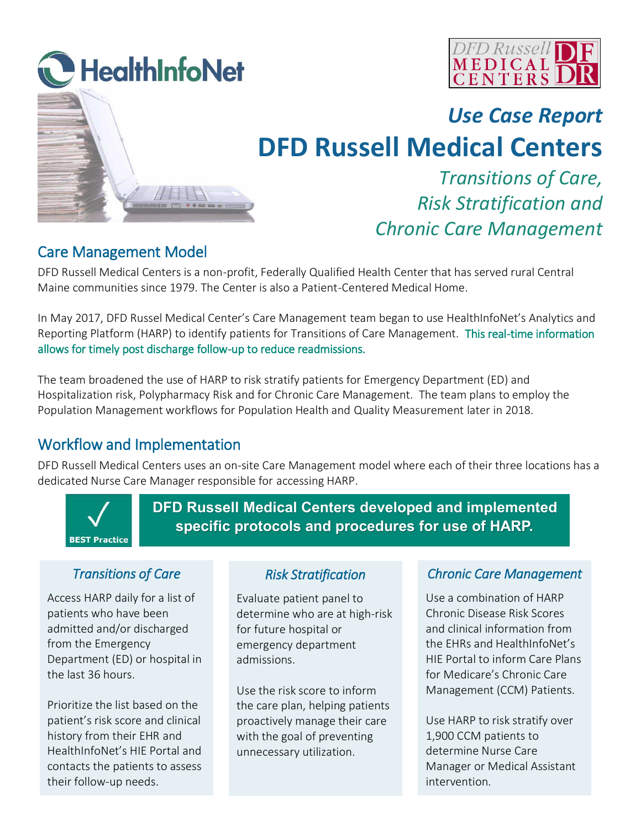



## *Use Case Report*

# **DFD Russell Medical Centers**

## *Transitions of Care, Risk Stratification and Chronic Care Management*

#### Care Management Model

DFD Russell Medical Centers is a non-profit, Federally Qualified Health Center that has served rural Central Maine communities since 1979. The Center is also a Patient-Centered Medical Home.

In May 2017, DFD Russel Medical Center's Care Management team began to use HealthInfoNet's Analytics and Reporting Platform (HARP) to identify patients for Transitions of Care Management. This real-time information allows for timely post discharge follow-up to reduce readmissions.

The team broadened the use of HARP to risk stratify patients for Emergency Department (ED) and Hospitalization risk, Polypharmacy Risk and for Chronic Care Management. The team plans to employ the Population Management workflows for Population Health and Quality Measurement later in 2018.

### Workflow and Implementation

DFD Russell Medical Centers uses an on-site Care Management model where each of their three locations has a dedicated Nurse Care Manager responsible for accessing HARP.



**DFD Russell Medical Centers developed and implemented specific protocols and procedures for use of HARP.**

#### *Transitions of Care*

Access HARP daily for a list of patients who have been admitted and/or discharged from the Emergency Department (ED) or hospital in the last 36 hours.

Prioritize the list based on the patient's risk score and clinical history from their EHR and HealthInfoNet's HIE Portal and contacts the patients to assess their follow-up needs.

#### *Risk Stratification*

Evaluate patient panel to determine who are at high-risk for future hospital or emergency department admissions.

Use the risk score to inform the care plan, helping patients proactively manage their care with the goal of preventing unnecessary utilization.

#### *Chronic Care Management*

Use a combination of HARP Chronic Disease Risk Scores and clinical information from the EHRs and HealthInfoNet's HIE Portal to inform Care Plans for Medicare's Chronic Care Management (CCM) Patients.

Use HARP to risk stratify over 1,900 CCM patients to determine Nurse Care Manager or Medical Assistant intervention.